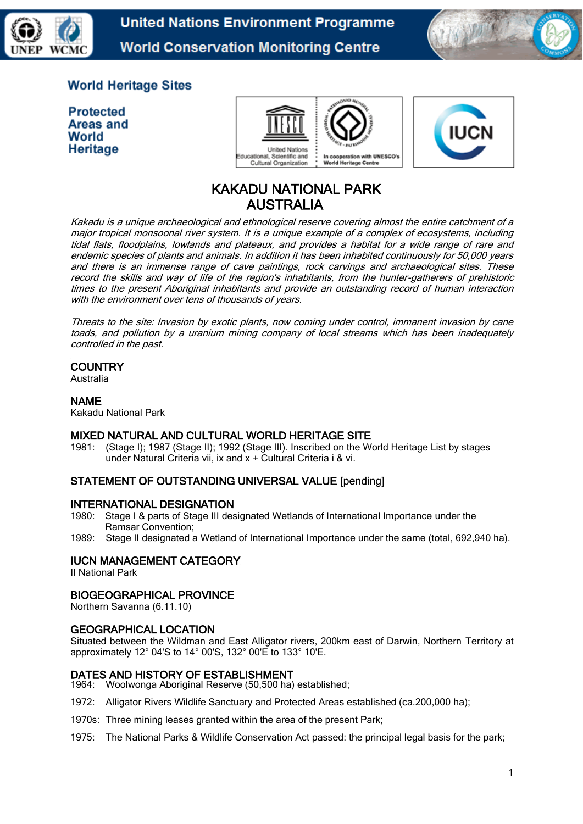



# **World Heritage Sites**

**Protected Areas and** World Heritage





# KAKADU NATIONAL PARK AUSTRALIA

Kakadu is a unique archaeological and ethnological reserve covering almost the entire catchment of a major tropical monsoonal river system. It is a unique example of a complex of ecosystems, including tidal flats, floodplains, lowlands and plateaux, and provides a habitat for a wide range of rare and endemic species of plants and animals. In addition it has been inhabited continuously for 50,000 years and there is an immense range of cave paintings, rock carvings and archaeological sites. These record the skills and way of life of the region's inhabitants, from the hunter-gatherers of prehistoric times to the present Aboriginal inhabitants and provide an outstanding record of human interaction with the environment over tens of thousands of years.

Threats to the site: Invasion by exotic plants, now coming under control, immanent invasion by cane toads, and pollution by a uranium mining company of local streams which has been inadequately controlled in the past.

# **COUNTRY**

Australia

# NAME

Kakadu National Park

# **MIXED NATURAL AND CULTURAL WORLD HERITAGE SITE**<br>1981: (Stage I): 1987 (Stage II): 1992 (Stage III). Inscribed on the W

1981: (Stage I); 1987 (Stage II); 1992 (Stage III). Inscribed on the World Heritage List by stages under Natural Criteria vii, ix and x + Cultural Criteria i & vi.

# STATEMENT OF OUTSTANDING UNIVERSAL VALUE [pending]

### INTERNATIONAL DESIGNATION

- 1980: Stage I & parts of Stage III designated Wetlands of International Importance under the Ramsar Convention;
- 1989: Stage II designated a Wetland of International Importance under the same (total, 692,940 ha).

# IUCN MANAGEMENT CATEGORY

II National Park

### BIOGEOGRAPHICAL PROVINCE

Northern Savanna (6.11.10)

### GEOGRAPHICAL LOCATION

Situated between the Wildman and East Alligator rivers, 200km east of Darwin, Northern Territory at approximately 12° 04'S to 14° 00'S, 132° 00'E to 133° 10'E.

### DATES AND HISTORY OF ESTABLISHMENT

1964: Woolwonga Aboriginal Reserve (50,500 ha) established;

- 1972: Alligator Rivers Wildlife Sanctuary and Protected Areas established (ca.200,000 ha);
- 1970s: Three mining leases granted within the area of the present Park;
- 1975: The National Parks & Wildlife Conservation Act passed: the principal legal basis for the park;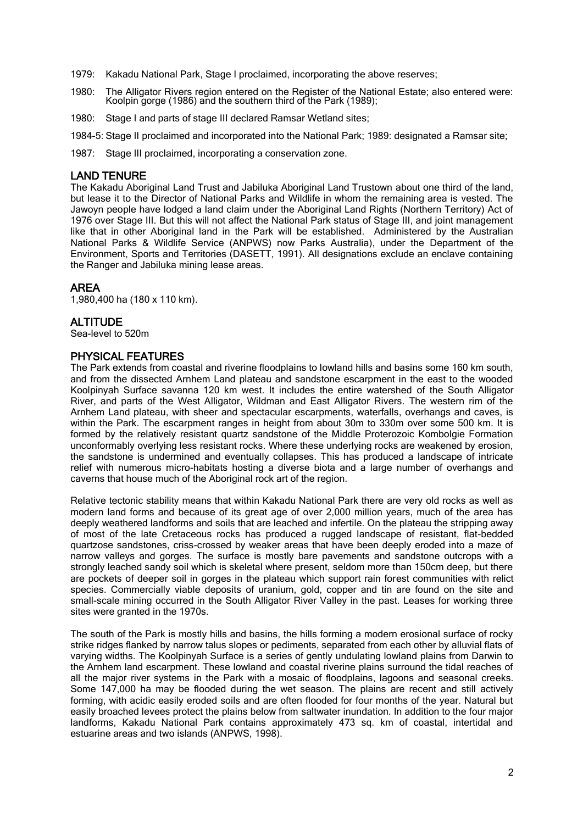- 1979: Kakadu National Park, Stage I proclaimed, incorporating the above reserves;
- 1980: The Alligator Rivers region entered on the Register of the National Estate; also entered were: Koolpin gorge (1986) and the southern third of the Park (1989);
- 1980: Stage I and parts of stage III declared Ramsar Wetland sites;
- 1984-5: Stage II proclaimed and incorporated into the National Park; 1989: designated a Ramsar site;
- 1987: Stage III proclaimed, incorporating a conservation zone.

#### LAND TENURE

The Kakadu Aboriginal Land Trust and Jabiluka Aboriginal Land Trustown about one third of the land, but lease it to the Director of National Parks and Wildlife in whom the remaining area is vested. The Jawoyn people have lodged a land claim under the Aboriginal Land Rights (Northern Territory) Act of 1976 over Stage III. But this will not affect the National Park status of Stage III, and joint management like that in other Aboriginal land in the Park will be established. Administered by the Australian National Parks & Wildlife Service (ANPWS) now Parks Australia), under the Department of the Environment, Sports and Territories (DASETT, 1991). All designations exclude an enclave containing the Ranger and Jabiluka mining lease areas.

# AREA

1,980,400 ha (180 x 110 km).

### **ALTITUDE**

Sea-level to 520m

#### PHYSICAL FEATURES

The Park extends from coastal and riverine floodplains to lowland hills and basins some 160 km south, and from the dissected Arnhem Land plateau and sandstone escarpment in the east to the wooded Koolpinyah Surface savanna 120 km west. It includes the entire watershed of the South Alligator River, and parts of the West Alligator, Wildman and East Alligator Rivers. The western rim of the Arnhem Land plateau, with sheer and spectacular escarpments, waterfalls, overhangs and caves, is within the Park. The escarpment ranges in height from about 30m to 330m over some 500 km. It is formed by the relatively resistant quartz sandstone of the Middle Proterozoic Kombolgie Formation unconformably overlying less resistant rocks. Where these underlying rocks are weakened by erosion, the sandstone is undermined and eventually collapses. This has produced a landscape of intricate relief with numerous micro-habitats hosting a diverse biota and a large number of overhangs and caverns that house much of the Aboriginal rock art of the region.

Relative tectonic stability means that within Kakadu National Park there are very old rocks as well as modern land forms and because of its great age of over 2,000 million years, much of the area has deeply weathered landforms and soils that are leached and infertile. On the plateau the stripping away of most of the late Cretaceous rocks has produced a rugged landscape of resistant, flat-bedded quartzose sandstones, criss-crossed by weaker areas that have been deeply eroded into a maze of narrow valleys and gorges. The surface is mostly bare pavements and sandstone outcrops with a strongly leached sandy soil which is skeletal where present, seldom more than 150cm deep, but there are pockets of deeper soil in gorges in the plateau which support rain forest communities with relict species. Commercially viable deposits of uranium, gold, copper and tin are found on the site and small-scale mining occurred in the South Alligator River Valley in the past. Leases for working three sites were granted in the 1970s.

The south of the Park is mostly hills and basins, the hills forming a modern erosional surface of rocky strike ridges flanked by narrow talus slopes or pediments, separated from each other by alluvial flats of varying widths. The Koolpinyah Surface is a series of gently undulating lowland plains from Darwin to the Arnhem land escarpment. These lowland and coastal riverine plains surround the tidal reaches of all the major river systems in the Park with a mosaic of floodplains, lagoons and seasonal creeks. Some 147,000 ha may be flooded during the wet season. The plains are recent and still actively forming, with acidic easily eroded soils and are often flooded for four months of the year. Natural but easily broached levees protect the plains below from saltwater inundation. In addition to the four major landforms, Kakadu National Park contains approximately 473 sq. km of coastal, intertidal and estuarine areas and two islands (ANPWS, 1998).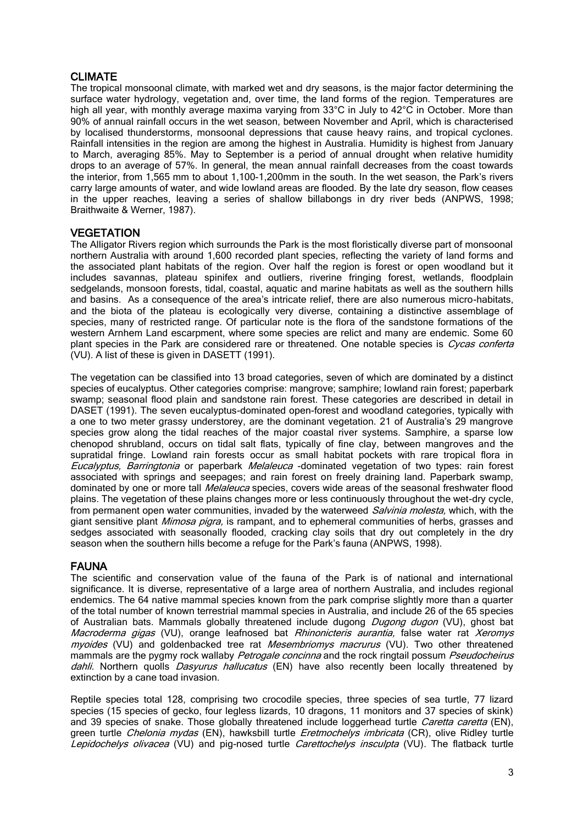# CLIMATE

The tropical monsoonal climate, with marked wet and dry seasons, is the major factor determining the surface water hydrology, vegetation and, over time, the land forms of the region. Temperatures are high all year, with monthly average maxima varying from 33°C in July to 42°C in October. More than 90% of annual rainfall occurs in the wet season, between November and April, which is characterised by localised thunderstorms, monsoonal depressions that cause heavy rains, and tropical cyclones. Rainfall intensities in the region are among the highest in Australia. Humidity is highest from January to March, averaging 85%. May to September is a period of annual drought when relative humidity drops to an average of 57%. In general, the mean annual rainfall decreases from the coast towards the interior, from 1,565 mm to about 1,100-1,200mm in the south. In the wet season, the Park's rivers carry large amounts of water, and wide lowland areas are flooded. By the late dry season, flow ceases in the upper reaches, leaving a series of shallow billabongs in dry river beds (ANPWS, 1998; Braithwaite & Werner, 1987).

# **VEGETATION**

The Alligator Rivers region which surrounds the Park is the most floristically diverse part of monsoonal northern Australia with around 1,600 recorded plant species, reflecting the variety of land forms and the associated plant habitats of the region. Over half the region is forest or open woodland but it includes savannas, plateau spinifex and outliers, riverine fringing forest, wetlands, floodplain sedgelands, monsoon forests, tidal, coastal, aquatic and marine habitats as well as the southern hills and basins. As a consequence of the area's intricate relief, there are also numerous micro-habitats, and the biota of the plateau is ecologically very diverse, containing a distinctive assemblage of species, many of restricted range. Of particular note is the flora of the sandstone formations of the western Arnhem Land escarpment, where some species are relict and many are endemic. Some 60 plant species in the Park are considered rare or threatened. One notable species is Cycas conferta (VU). A list of these is given in DASETT (1991).

The vegetation can be classified into 13 broad categories, seven of which are dominated by a distinct species of eucalyptus. Other categories comprise: mangrove; samphire; lowland rain forest; paperbark swamp; seasonal flood plain and sandstone rain forest. These categories are described in detail in DASET (1991). The seven eucalyptus-dominated open-forest and woodland categories, typically with a one to two meter grassy understorey, are the dominant vegetation. 21 of Australia's 29 mangrove species grow along the tidal reaches of the major coastal river systems. Samphire, a sparse low chenopod shrubland, occurs on tidal salt flats, typically of fine clay, between mangroves and the supratidal fringe. Lowland rain forests occur as small habitat pockets with rare tropical flora in Eucalyptus, Barringtonia or paperbark Melaleuca -dominated vegetation of two types: rain forest associated with springs and seepages; and rain forest on freely draining land. Paperbark swamp, dominated by one or more tall *Melaleuca* species, covers wide areas of the seasonal freshwater flood plains. The vegetation of these plains changes more or less continuously throughout the wet-dry cycle, from permanent open water communities, invaded by the waterweed *Salvinia molesta*, which, with the giant sensitive plant *Mimosa pigra*, is rampant, and to ephemeral communities of herbs, grasses and sedges associated with seasonally flooded, cracking clay soils that dry out completely in the dry season when the southern hills become a refuge for the Park's fauna (ANPWS, 1998).

### FAUNA

The scientific and conservation value of the fauna of the Park is of national and international significance. It is diverse, representative of a large area of northern Australia, and includes regional endemics. The 64 native mammal species known from the park comprise slightly more than a quarter of the total number of known terrestrial mammal species in Australia, and include 26 of the 65 species of Australian bats. Mammals globally threatened include dugong *Dugong dugon* (VU), ghost bat Macroderma gigas (VU), orange leafnosed bat Rhinonicteris aurantia, false water rat Xeromys myoides (VU) and goldenbacked tree rat *Mesembriomys macrurus* (VU). Two other threatened mammals are the pygmy rock wallaby Petrogale concinna and the rock ringtail possum Pseudocheirus dahli. Northern quolls Dasyurus hallucatus (EN) have also recently been locally threatened by extinction by a cane toad invasion.

Reptile species total 128, comprising two crocodile species, three species of sea turtle, 77 lizard species (15 species of gecko, four legless lizards, 10 dragons, 11 monitors and 37 species of skink) and 39 species of snake. Those globally threatened include loggerhead turtle Caretta caretta (EN), green turtle Chelonia mydas (EN), hawksbill turtle Eretmochelys imbricata (CR), olive Ridley turtle Lepidochelys olivacea (VU) and pig-nosed turtle Carettochelys insculpta (VU). The flatback turtle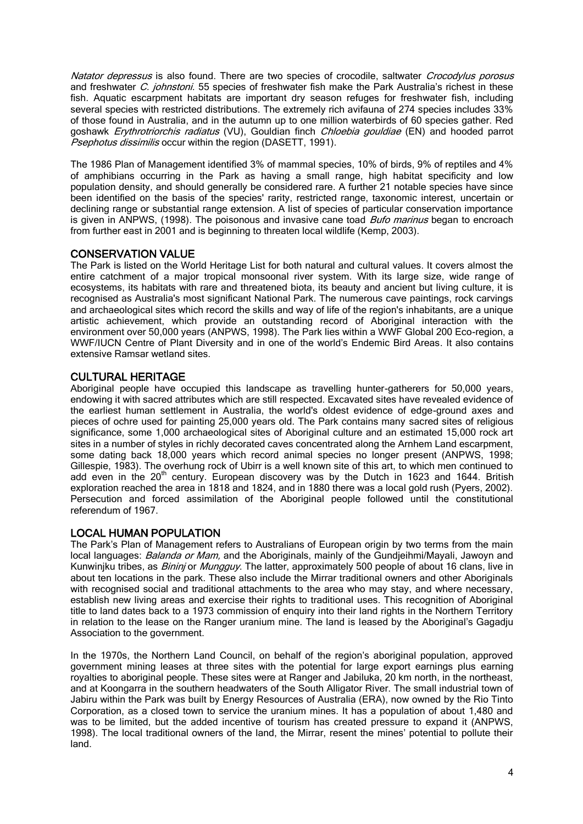Natator depressus is also found. There are two species of crocodile, saltwater Crocodylus porosus and freshwater *C. johnstoni*. 55 species of freshwater fish make the Park Australia's richest in these fish. Aquatic escarpment habitats are important dry season refuges for freshwater fish, including several species with restricted distributions. The extremely rich avifauna of 274 species includes 33% of those found in Australia, and in the autumn up to one million waterbirds of 60 species gather. Red goshawk Erythrotriorchis radiatus (VU), Gouldian finch Chloebia gouldiae (EN) and hooded parrot **Psephotus dissimilis occur within the region (DASETT, 1991).** 

The 1986 Plan of Management identified 3% of mammal species, 10% of birds, 9% of reptiles and 4% of amphibians occurring in the Park as having a small range, high habitat specificity and low population density, and should generally be considered rare. A further 21 notable species have since been identified on the basis of the species' rarity, restricted range, taxonomic interest, uncertain or declining range or substantial range extension. A list of species of particular conservation importance is given in ANPWS, (1998). The poisonous and invasive cane toad *Bufo marinus* began to encroach from further east in 2001 and is beginning to threaten local wildlife (Kemp, 2003).

# CONSERVATION VALUE

The Park is listed on the World Heritage List for both natural and cultural values. It covers almost the entire catchment of a major tropical monsoonal river system. With its large size, wide range of ecosystems, its habitats with rare and threatened biota, its beauty and ancient but living culture, it is recognised as Australia's most significant National Park. The numerous cave paintings, rock carvings and archaeological sites which record the skills and way of life of the region's inhabitants, are a unique artistic achievement, which provide an outstanding record of Aboriginal interaction with the environment over 50,000 years (ANPWS, 1998). The Park lies within a WWF Global 200 Eco-region, a WWF/IUCN Centre of Plant Diversity and in one of the world's Endemic Bird Areas. It also contains extensive Ramsar wetland sites.

# CULTURAL HERITAGE

Aboriginal people have occupied this landscape as travelling hunter-gatherers for 50,000 years, endowing it with sacred attributes which are still respected. Excavated sites have revealed evidence of the earliest human settlement in Australia, the world's oldest evidence of edge-ground axes and pieces of ochre used for painting 25,000 years old. The Park contains many sacred sites of religious significance, some 1,000 archaeological sites of Aboriginal culture and an estimated 15,000 rock art sites in a number of styles in richly decorated caves concentrated along the Arnhem Land escarpment, some dating back 18,000 years which record animal species no longer present (ANPWS, 1998; Gillespie, 1983). The overhung rock of Ubirr is a well known site of this art, to which men continued to add even in the 20<sup>th</sup> century. European discovery was by the Dutch in 1623 and 1644. British exploration reached the area in 1818 and 1824, and in 1880 there was a local gold rush (Pyers, 2002). Persecution and forced assimilation of the Aboriginal people followed until the constitutional referendum of 1967.

# LOCAL HUMAN POPULATION

The Park's Plan of Management refers to Australians of European origin by two terms from the main local languages: Balanda or Mam, and the Aboriginals, mainly of the Gundjeihmi/Mayali, Jawoyn and Kunwinjku tribes, as *Bininj* or *Mungguy*. The latter, approximately 500 people of about 16 clans, live in about ten locations in the park. These also include the Mirrar traditional owners and other Aboriginals with recognised social and traditional attachments to the area who may stay, and where necessary, establish new living areas and exercise their rights to traditional uses. This recognition of Aboriginal title to land dates back to a 1973 commission of enquiry into their land rights in the Northern Territory in relation to the lease on the Ranger uranium mine. The land is leased by the Aboriginal's Gagadju Association to the government.

In the 1970s, the Northern Land Council, on behalf of the region's aboriginal population, approved government mining leases at three sites with the potential for large export earnings plus earning royalties to aboriginal people. These sites were at Ranger and Jabiluka, 20 km north, in the northeast, and at Koongarra in the southern headwaters of the South Alligator River. The small industrial town of Jabiru within the Park was built by Energy Resources of Australia (ERA), now owned by the Rio Tinto Corporation, as a closed town to service the uranium mines. It has a population of about 1,480 and was to be limited, but the added incentive of tourism has created pressure to expand it (ANPWS, 1998). The local traditional owners of the land, the Mirrar, resent the mines' potential to pollute their land.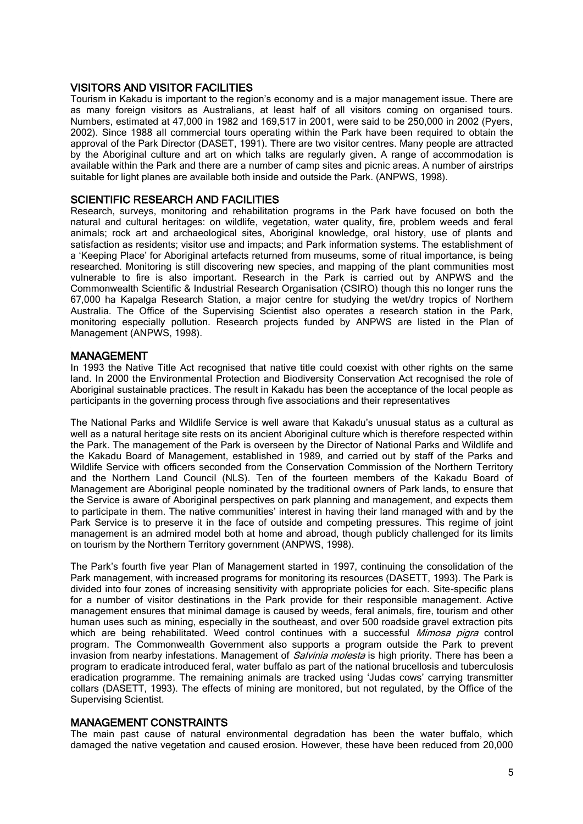# VISITORS AND VISITOR FACILITIES

Tourism in Kakadu is important to the region's economy and is a major management issue. There are as many foreign visitors as Australians, at least half of all visitors coming on organised tours. Numbers, estimated at 47,000 in 1982 and 169,517 in 2001, were said to be 250,000 in 2002 (Pyers, 2002). Since 1988 all commercial tours operating within the Park have been required to obtain the approval of the Park Director (DASET, 1991). There are two visitor centres. Many people are attracted by the Aboriginal culture and art on which talks are regularly given. A range of accommodation is available within the Park and there are a number of camp sites and picnic areas. A number of airstrips suitable for light planes are available both inside and outside the Park. (ANPWS, 1998).

# SCIENTIFIC RESEARCH AND FACILITIES

Research, surveys, monitoring and rehabilitation programs in the Park have focused on both the natural and cultural heritages: on wildlife, vegetation, water quality, fire, problem weeds and feral animals; rock art and archaeological sites, Aboriginal knowledge, oral history, use of plants and satisfaction as residents; visitor use and impacts; and Park information systems. The establishment of a 'Keeping Place' for Aboriginal artefacts returned from museums, some of ritual importance, is being researched. Monitoring is still discovering new species, and mapping of the plant communities most vulnerable to fire is also important. Research in the Park is carried out by ANPWS and the Commonwealth Scientific & Industrial Research Organisation (CSIRO) though this no longer runs the 67,000 ha Kapalga Research Station, a major centre for studying the wet/dry tropics of Northern Australia. The Office of the Supervising Scientist also operates a research station in the Park, monitoring especially pollution. Research projects funded by ANPWS are listed in the Plan of Management (ANPWS, 1998).

### MANAGEMENT

In 1993 the Native Title Act recognised that native title could coexist with other rights on the same land. In 2000 the Environmental Protection and Biodiversity Conservation Act recognised the role of Aboriginal sustainable practices. The result in Kakadu has been the acceptance of the local people as participants in the governing process through five associations and their representatives

The National Parks and Wildlife Service is well aware that Kakadu's unusual status as a cultural as well as a natural heritage site rests on its ancient Aboriginal culture which is therefore respected within the Park. The management of the Park is overseen by the Director of National Parks and Wildlife and the Kakadu Board of Management, established in 1989, and carried out by staff of the Parks and Wildlife Service with officers seconded from the Conservation Commission of the Northern Territory and the Northern Land Council (NLS). Ten of the fourteen members of the Kakadu Board of Management are Aboriginal people nominated by the traditional owners of Park lands, to ensure that the Service is aware of Aboriginal perspectives on park planning and management, and expects them to participate in them. The native communities' interest in having their land managed with and by the Park Service is to preserve it in the face of outside and competing pressures. This regime of joint management is an admired model both at home and abroad, though publicly challenged for its limits on tourism by the Northern Territory government (ANPWS, 1998).

The Park's fourth five year Plan of Management started in 1997, continuing the consolidation of the Park management, with increased programs for monitoring its resources (DASETT, 1993). The Park is divided into four zones of increasing sensitivity with appropriate policies for each. Site-specific plans for a number of visitor destinations in the Park provide for their responsible management. Active management ensures that minimal damage is caused by weeds, feral animals, fire, tourism and other human uses such as mining, especially in the southeast, and over 500 roadside gravel extraction pits which are being rehabilitated. Weed control continues with a successful Mimosa pigra control program. The Commonwealth Government also supports a program outside the Park to prevent invasion from nearby infestations. Management of *Salvinia molesta* is high priority. There has been a program to eradicate introduced feral, water buffalo as part of the national brucellosis and tuberculosis eradication programme. The remaining animals are tracked using 'Judas cows' carrying transmitter collars (DASETT, 1993). The effects of mining are monitored, but not regulated, by the Office of the Supervising Scientist.

### MANAGEMENT CONSTRAINTS

The main past cause of natural environmental degradation has been the water buffalo, which damaged the native vegetation and caused erosion. However, these have been reduced from 20,000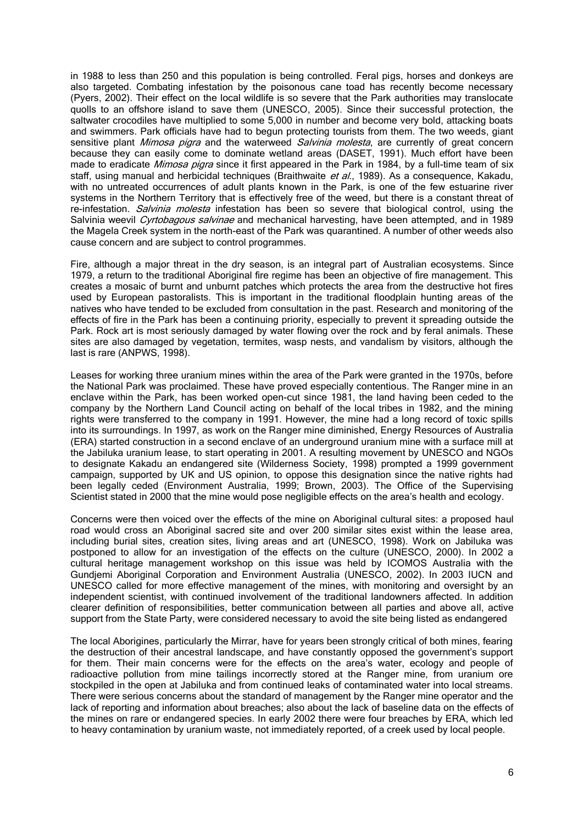in 1988 to less than 250 and this population is being controlled. Feral pigs, horses and donkeys are also targeted. Combating infestation by the poisonous cane toad has recently become necessary (Pyers, 2002). Their effect on the local wildlife is so severe that the Park authorities may translocate quolls to an offshore island to save them (UNESCO, 2005). Since their successful protection, the saltwater crocodiles have multiplied to some 5,000 in number and become very bold, attacking boats and swimmers. Park officials have had to begun protecting tourists from them. The two weeds, giant sensitive plant *Mimosa pigra* and the waterweed *Salvinia molesta*, are currently of great concern because they can easily come to dominate wetland areas (DASET, 1991). Much effort have been made to eradicate *Mimosa pigra* since it first appeared in the Park in 1984, by a full-time team of six staff, using manual and herbicidal techniques (Braithwaite et al., 1989). As a consequence, Kakadu, with no untreated occurrences of adult plants known in the Park, is one of the few estuarine river systems in the Northern Territory that is effectively free of the weed, but there is a constant threat of re-infestation. *Salvinia molesta* infestation has been so severe that biological control, using the Salvinia weevil Cyrtobagous salvinae and mechanical harvesting, have been attempted, and in 1989 the Magela Creek system in the north-east of the Park was quarantined. A number of other weeds also cause concern and are subject to control programmes.

Fire, although a major threat in the dry season, is an integral part of Australian ecosystems. Since 1979, a return to the traditional Aboriginal fire regime has been an objective of fire management. This creates a mosaic of burnt and unburnt patches which protects the area from the destructive hot fires used by European pastoralists. This is important in the traditional floodplain hunting areas of the natives who have tended to be excluded from consultation in the past. Research and monitoring of the effects of fire in the Park has been a continuing priority, especially to prevent it spreading outside the Park. Rock art is most seriously damaged by water flowing over the rock and by feral animals. These sites are also damaged by vegetation, termites, wasp nests, and vandalism by visitors, although the last is rare (ANPWS, 1998).

Leases for working three uranium mines within the area of the Park were granted in the 1970s, before the National Park was proclaimed. These have proved especially contentious. The Ranger mine in an enclave within the Park, has been worked open-cut since 1981, the land having been ceded to the company by the Northern Land Council acting on behalf of the local tribes in 1982, and the mining rights were transferred to the company in 1991. However, the mine had a long record of toxic spills into its surroundings. In 1997, as work on the Ranger mine diminished, Energy Resources of Australia (ERA) started construction in a second enclave of an underground uranium mine with a surface mill at the Jabiluka uranium lease, to start operating in 2001. A resulting movement by UNESCO and NGOs to designate Kakadu an endangered site (Wilderness Society, 1998) prompted a 1999 government campaign, supported by UK and US opinion, to oppose this designation since the native rights had been legally ceded (Environment Australia, 1999; Brown, 2003). The Office of the Supervising Scientist stated in 2000 that the mine would pose negligible effects on the area's health and ecology.

Concerns were then voiced over the effects of the mine on Aboriginal cultural sites: a proposed haul road would cross an Aboriginal sacred site and over 200 similar sites exist within the lease area, including burial sites, creation sites, living areas and art (UNESCO, 1998). Work on Jabiluka was postponed to allow for an investigation of the effects on the culture (UNESCO, 2000). In 2002 a cultural heritage management workshop on this issue was held by ICOMOS Australia with the Gundjemi Aboriginal Corporation and Environment Australia (UNESCO, 2002). In 2003 IUCN and UNESCO called for more effective management of the mines, with monitoring and oversight by an independent scientist, with continued involvement of the traditional landowners affected. In addition clearer definition of responsibilities, better communication between all parties and above all, active support from the State Party, were considered necessary to avoid the site being listed as endangered

The local Aborigines, particularly the Mirrar, have for years been strongly critical of both mines, fearing the destruction of their ancestral landscape, and have constantly opposed the government's support for them. Their main concerns were for the effects on the area's water, ecology and people of radioactive pollution from mine tailings incorrectly stored at the Ranger mine, from uranium ore stockpiled in the open at Jabiluka and from continued leaks of contaminated water into local streams. There were serious concerns about the standard of management by the Ranger mine operator and the lack of reporting and information about breaches; also about the lack of baseline data on the effects of the mines on rare or endangered species. In early 2002 there were four breaches by ERA, which led to heavy contamination by uranium waste, not immediately reported, of a creek used by local people.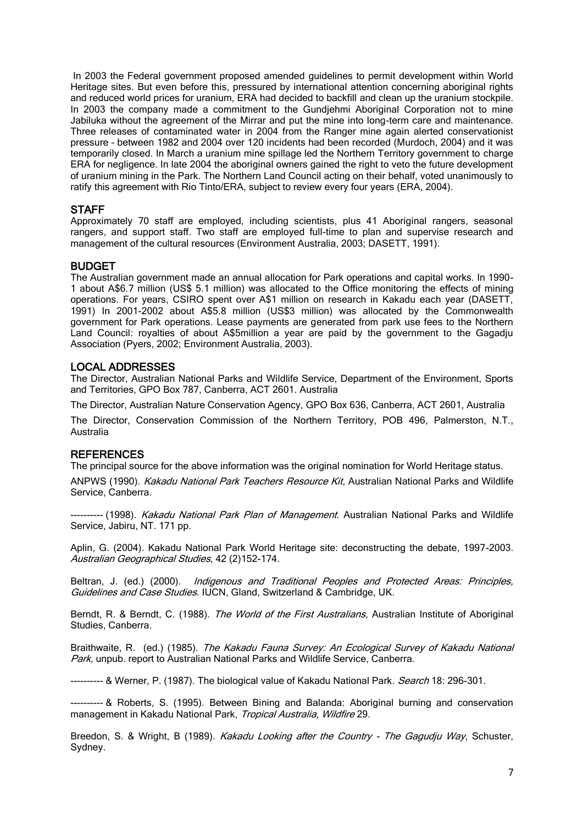In 2003 the Federal government proposed amended guidelines to permit development within World Heritage sites. But even before this, pressured by international attention concerning aboriginal rights and reduced world prices for uranium, ERA had decided to backfill and clean up the uranium stockpile. In 2003 the company made a commitment to the Gundjehmi Aboriginal Corporation not to mine Jabiluka without the agreement of the Mirrar and put the mine into long-term care and maintenance. Three releases of contaminated water in 2004 from the Ranger mine again alerted conservationist pressure – between 1982 and 2004 over 120 incidents had been recorded (Murdoch, 2004) and it was temporarily closed. In March a uranium mine spillage led the Northern Territory government to charge ERA for negligence. In late 2004 the aboriginal owners gained the right to veto the future development of uranium mining in the Park. The Northern Land Council acting on their behalf, voted unanimously to ratify this agreement with Rio Tinto/ERA, subject to review every four years (ERA, 2004).

# **STAFF**

Approximately 70 staff are employed, including scientists, plus 41 Aboriginal rangers, seasonal rangers, and support staff. Two staff are employed full-time to plan and supervise research and management of the cultural resources (Environment Australia, 2003; DASETT, 1991).

# BUDGET

The Australian government made an annual allocation for Park operations and capital works. In 1990- 1 about A\$6.7 million (US\$ 5.1 million) was allocated to the Office monitoring the effects of mining operations. For years, CSIRO spent over A\$1 million on research in Kakadu each year (DASETT, 1991) In 2001-2002 about A\$5.8 million (US\$3 million) was allocated by the Commonwealth government for Park operations. Lease payments are generated from park use fees to the Northern Land Council: royalties of about A\$5million a year are paid by the government to the Gagadju Association (Pyers, 2002; Environment Australia, 2003).

# LOCAL ADDRESSES

The Director, Australian National Parks and Wildlife Service, Department of the Environment, Sports and Territories, GPO Box 787, Canberra, ACT 2601. Australia

The Director, Australian Nature Conservation Agency, GPO Box 636, Canberra, ACT 2601, Australia

The Director, Conservation Commission of the Northern Territory, POB 496, Palmerston, N.T., Australia

# **REFERENCES**

The principal source for the above information was the original nomination for World Heritage status.

ANPWS (1990). Kakadu National Park Teachers Resource Kit, Australian National Parks and Wildlife Service, Canberra.

--------- (1998). *Kakadu National Park Plan of Management*. Australian National Parks and Wildlife Service, Jabiru, NT. 171 pp.

Aplin, G. (2004). Kakadu National Park World Heritage site: deconstructing the debate, 1997-2003. Australian Geographical Studies, 42 (2)152-174.

Beltran, J. (ed.) (2000). Indigenous and Traditional Peoples and Protected Areas: Principles, Guidelines and Case Studies. IUCN, Gland, Switzerland & Cambridge, UK.

Berndt, R. & Berndt, C. (1988). The World of the First Australians, Australian Institute of Aboriginal Studies, Canberra.

Braithwaite, R. (ed.) (1985). The Kakadu Fauna Survey: An Ecological Survey of Kakadu National Park, unpub. report to Australian National Parks and Wildlife Service, Canberra.

---------- & Werner, P. (1987). The biological value of Kakadu National Park. Search 18: 296-301.

--- & Roberts, S. (1995). Between Bining and Balanda: Aboriginal burning and conservation management in Kakadu National Park, Tropical Australia, Wildfire 29.

Breedon, S. & Wright, B (1989). Kakadu Looking after the Country - The Gagudju Way, Schuster, Sydney.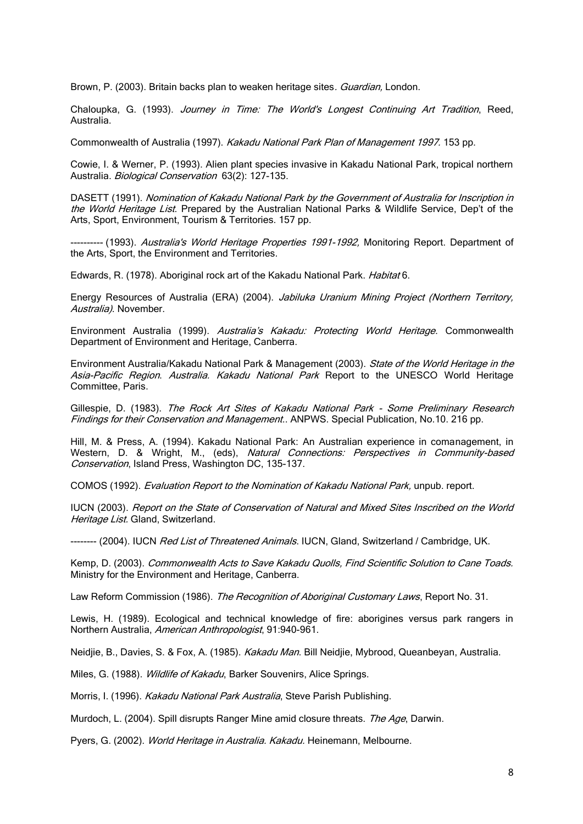Brown, P. (2003). Britain backs plan to weaken heritage sites. Guardian, London.

Chaloupka, G. (1993). Journey in Time: The World's Longest Continuing Art Tradition, Reed, Australia.

Commonwealth of Australia (1997). Kakadu National Park Plan of Management 1997. 153 pp.

Cowie, I. & Werner, P. (1993). Alien plant species invasive in Kakadu National Park, tropical northern Australia. Biological Conservation 63(2): 127-135.

DASETT (1991). Nomination of Kakadu National Park by the Government of Australia for Inscription in the World Heritage List. Prepared by the Australian National Parks & Wildlife Service, Dep't of the Arts, Sport, Environment, Tourism & Territories. 157 pp.

--------- (1993). Australia's World Heritage Properties 1991-1992, Monitoring Report. Department of the Arts, Sport, the Environment and Territories.

Edwards, R. (1978). Aboriginal rock art of the Kakadu National Park. Habitat 6.

Energy Resources of Australia (ERA) (2004). Jabiluka Uranium Mining Project (Northern Territory, Australia). November.

Environment Australia (1999). Australia's Kakadu: Protecting World Heritage. Commonwealth Department of Environment and Heritage, Canberra.

Environment Australia/Kakadu National Park & Management (2003). State of the World Heritage in the Asia-Pacific Region. Australia. Kakadu National Park Report to the UNESCO World Heritage Committee, Paris.

Gillespie, D. (1983). The Rock Art Sites of Kakadu National Park - Some Preliminary Research Findings for their Conservation and Management.. ANPWS. Special Publication, No.10. 216 pp.

Hill, M. & Press, A. (1994). Kakadu National Park: An Australian experience in comanagement, in Western, D. & Wright, M., (eds), Natural Connections: Perspectives in Community-based Conservation, Island Press, Washington DC, 135-137.

COMOS (1992). Evaluation Report to the Nomination of Kakadu National Park, unpub. report.

IUCN (2003). Report on the State of Conservation of Natural and Mixed Sites Inscribed on the World Heritage List. Gland, Switzerland.

-------- (2004). IUCN Red List of Threatened Animals. IUCN, Gland, Switzerland / Cambridge, UK.

Kemp, D. (2003). Commonwealth Acts to Save Kakadu Quolls, Find Scientific Solution to Cane Toads. Ministry for the Environment and Heritage, Canberra.

Law Reform Commission (1986). The Recognition of Aboriginal Customary Laws, Report No. 31.

Lewis, H. (1989). Ecological and technical knowledge of fire: aborigines versus park rangers in Northern Australia, American Anthropologist, 91:940-961.

Neidjie, B., Davies, S. & Fox, A. (1985). Kakadu Man. Bill Neidjie, Mybrood, Queanbeyan, Australia.

Miles, G. (1988). Wildlife of Kakadu, Barker Souvenirs, Alice Springs.

Morris, I. (1996). Kakadu National Park Australia, Steve Parish Publishing.

Murdoch, L. (2004). Spill disrupts Ranger Mine amid closure threats. The Age, Darwin.

Pyers, G. (2002). World Heritage in Australia. Kakadu. Heinemann, Melbourne.